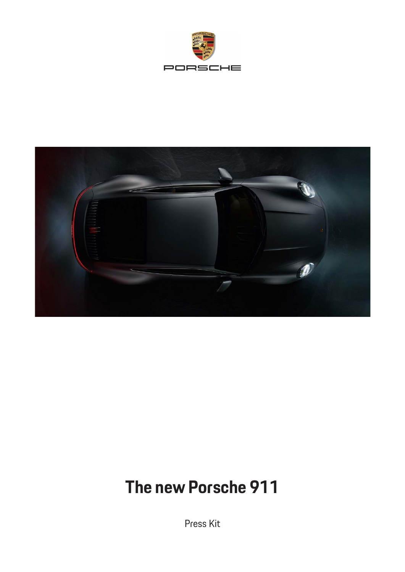



# **The new Porsche 911**

Press Kit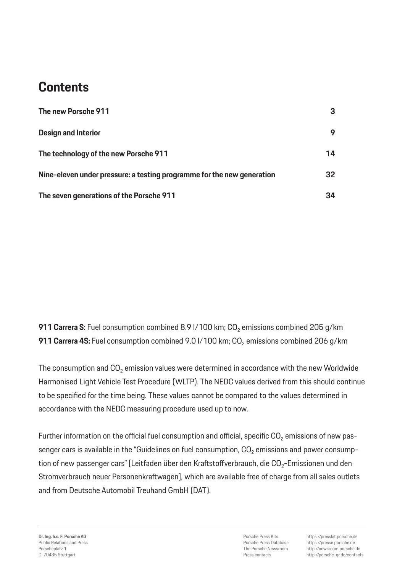## **Contents**

| The new Porsche 911                                                    | 3  |
|------------------------------------------------------------------------|----|
| <b>Design and Interior</b>                                             | 9  |
| The technology of the new Porsche 911                                  | 14 |
| Nine-eleven under pressure: a testing programme for the new generation | 32 |
| The seven generations of the Porsche 911                               | 34 |

**911 Carrera S:** Fuel consumption combined 8.9 I/100 km; CO<sub>2</sub> emissions combined 205 g/km **911 Carrera 4S:** Fuel consumption combined 9.0 I/100 km; CO<sub>2</sub> emissions combined 206 g/km

The consumption and  $CO<sub>2</sub>$  emission values were determined in accordance with the new Worldwide Harmonised Light Vehicle Test Procedure (WLTP). The NEDC values derived from this should continue to be specified for the time being. These values cannot be compared to the values determined in accordance with the NEDC measuring procedure used up to now.

Further information on the official fuel consumption and official, specific  $CO<sub>2</sub>$  emissions of new passenger cars is available in the "Guidelines on fuel consumption,  $CO<sub>2</sub>$  emissions and power consumption of new passenger cars" [Leitfaden über den Kraftstoffverbrauch, die CO<sub>2</sub>-Emissionen und den Stromverbrauch neuer Personenkraftwagen], which are available free of charge from all sales outlets and from Deutsche Automobil Treuhand GmbH (DAT).

Porsche Press Kits Porsche Press Database The Porsche Newsroom Press contacts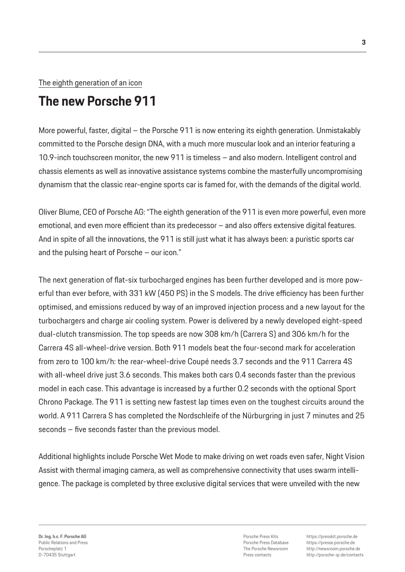#### The eighth generation of an icon

## **The new Porsche 911**

More powerful, faster, digital – the Porsche 911 is now entering its eighth generation. Unmistakably committed to the Porsche design DNA, with a much more muscular look and an interior featuring a 10.9-inch touchscreen monitor, the new 911 is timeless – and also modern. Intelligent control and chassis elements as well as innovative assistance systems combine the masterfully uncompromising dynamism that the classic rear-engine sports car is famed for, with the demands of the digital world.

Oliver Blume, CEO of Porsche AG: "The eighth generation of the 911 is even more powerful, even more emotional, and even more efficient than its predecessor – and also offers extensive digital features. And in spite of all the innovations, the 911 is still just what it has always been: a puristic sports car and the pulsing heart of Porsche – our icon."

The next generation of flat-six turbocharged engines has been further developed and is more powerful than ever before, with 331 kW (450 PS) in the S models. The drive efficiency has been further optimised, and emissions reduced by way of an improved injection process and a new layout for the turbochargers and charge air cooling system. Power is delivered by a newly developed eight-speed dual-clutch transmission. The top speeds are now 308 km/h (Carrera S) and 306 km/h for the Carrera 4S all-wheel-drive version. Both 911 models beat the four-second mark for acceleration from zero to 100 km/h: the rear-wheel-drive Coupé needs 3.7 seconds and the 911 Carrera 4S with all-wheel drive just 3.6 seconds. This makes both cars 0.4 seconds faster than the previous model in each case. This advantage is increased by a further 0.2 seconds with the optional Sport Chrono Package. The 911 is setting new fastest lap times even on the toughest circuits around the world. A 911 Carrera S has completed the Nordschleife of the Nürburgring in just 7 minutes and 25 seconds – five seconds faster than the previous model.

Additional highlights include Porsche Wet Mode to make driving on wet roads even safer, Night Vision Assist with thermal imaging camera, as well as comprehensive connectivity that uses swarm intelligence. The package is completed by three exclusive digital services that were unveiled with the new

Porsche Press Kits Porsche Press Database The Porsche Newsroom Press contacts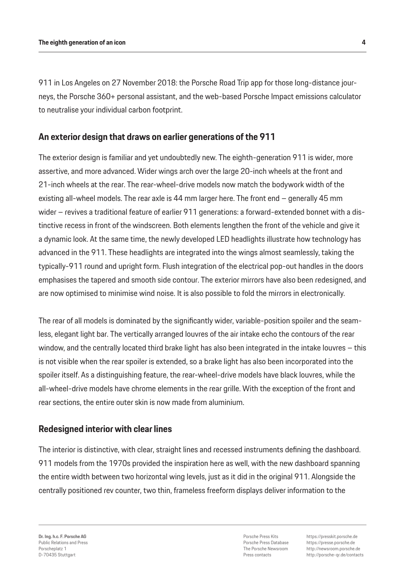911 in Los Angeles on 27 November 2018: the Porsche Road Trip app for those long-distance journeys, the Porsche 360+ personal assistant, and the web-based Porsche Impact emissions calculator to neutralise your individual carbon footprint.

## **An exterior design that draws on earlier generations of the 911**

The exterior design is familiar and yet undoubtedly new. The eighth-generation 911 is wider, more assertive, and more advanced. Wider wings arch over the large 20-inch wheels at the front and 21-inch wheels at the rear. The rear-wheel-drive models now match the bodywork width of the existing all-wheel models. The rear axle is 44 mm larger here. The front end – generally 45 mm wider – revives a traditional feature of earlier 911 generations: a forward-extended bonnet with a distinctive recess in front of the windscreen. Both elements lengthen the front of the vehicle and give it a dynamic look. At the same time, the newly developed LED headlights illustrate how technology has advanced in the 911. These headlights are integrated into the wings almost seamlessly, taking the typically-911 round and upright form. Flush integration of the electrical pop-out handles in the doors emphasises the tapered and smooth side contour. The exterior mirrors have also been redesigned, and are now optimised to minimise wind noise. It is also possible to fold the mirrors in electronically.

The rear of all models is dominated by the significantly wider, variable-position spoiler and the seamless, elegant light bar. The vertically arranged louvres of the air intake echo the contours of the rear window, and the centrally located third brake light has also been integrated in the intake louvres – this is not visible when the rear spoiler is extended, so a brake light has also been incorporated into the spoiler itself. As a distinguishing feature, the rear-wheel-drive models have black louvres, while the all-wheel-drive models have chrome elements in the rear grille. With the exception of the front and rear sections, the entire outer skin is now made from aluminium.

## **Redesigned interior with clear lines**

The interior is distinctive, with clear, straight lines and recessed instruments defining the dashboard. 911 models from the 1970s provided the inspiration here as well, with the new dashboard spanning the entire width between two horizontal wing levels, just as it did in the original 911. Alongside the centrally positioned rev counter, two thin, frameless freeform displays deliver information to the

Porsche Press Kits Porsche Press Database The Porsche Newsroom Press contacts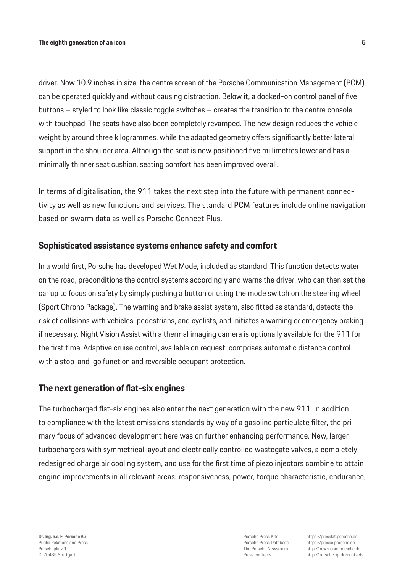driver. Now 10.9 inches in size, the centre screen of the Porsche Communication Management (PCM) can be operated quickly and without causing distraction. Below it, a docked-on control panel of five buttons – styled to look like classic toggle switches – creates the transition to the centre console with touchpad. The seats have also been completely revamped. The new design reduces the vehicle weight by around three kilogrammes, while the adapted geometry offers significantly better lateral support in the shoulder area. Although the seat is now positioned five millimetres lower and has a minimally thinner seat cushion, seating comfort has been improved overall.

In terms of digitalisation, the 911 takes the next step into the future with permanent connectivity as well as new functions and services. The standard PCM features include online navigation based on swarm data as well as Porsche Connect Plus.

## **Sophisticated assistance systems enhance safety and comfort**

In a world first, Porsche has developed Wet Mode, included as standard. This function detects water on the road, preconditions the control systems accordingly and warns the driver, who can then set the car up to focus on safety by simply pushing a button or using the mode switch on the steering wheel (Sport Chrono Package). The warning and brake assist system, also fitted as standard, detects the risk of collisions with vehicles, pedestrians, and cyclists, and initiates a warning or emergency braking if necessary. Night Vision Assist with a thermal imaging camera is optionally available for the 911 for the first time. Adaptive cruise control, available on request, comprises automatic distance control with a stop-and-go function and reversible occupant protection.

#### **The next generation of flat-six engines**

The turbocharged flat-six engines also enter the next generation with the new 911. In addition to compliance with the latest emissions standards by way of a gasoline particulate filter, the primary focus of advanced development here was on further enhancing performance. New, larger turbochargers with symmetrical layout and electrically controlled wastegate valves, a completely redesigned charge air cooling system, and use for the first time of piezo injectors combine to attain engine improvements in all relevant areas: responsiveness, power, torque characteristic, endurance,

Porsche Press Kits Porsche Press Database The Porsche Newsroom Press contacts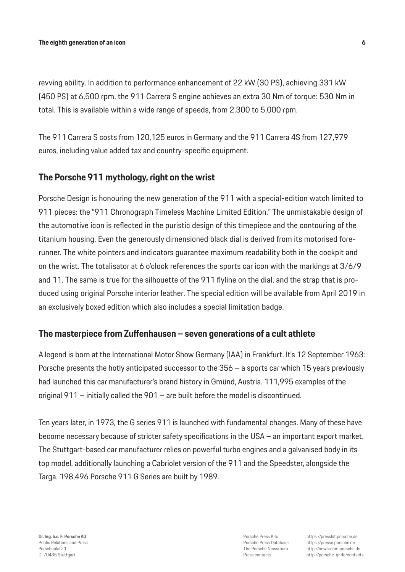revving ability. In addition to performance enhancement of 22 kW (30 PS), achieving 331 kW (450 PS) at 6,500 rpm, the 911 Carrera S engine achieves an extra 30 Nm of torque: 530 Nm in total. This is available within a wide range of speeds, from 2,300 to 5,000 rpm.

The 911 Carrera S costs from 120,125 euros in Germany and the 911 Carrera 4S from 127,979 euros, including value added tax and country-specific equipment.

## **The Porsche 911 mythology, right on the wrist**

Porsche Design is honouring the new generation of the 911 with a special-edition watch limited to 911 pieces: the "911 Chronograph Timeless Machine Limited Edition." The unmistakable design of the automotive icon is reflected in the puristic design of this timepiece and the contouring of the titanium housing. Even the generously dimensioned black dial is derived from its motorised forerunner. The white pointers and indicators guarantee maximum readability both in the cockpit and on the wrist. The totalisator at 6 o'clock references the sports car icon with the markings at 3/6/9 and 11. The same is true for the silhouette of the 911 flyline on the dial, and the strap that is produced using original Porsche interior leather. The special edition will be available from April 2019 in an exclusively boxed edition which also includes a special limitation badge.

## **The masterpiece from Zuffenhausen – seven generations of a cult athlete**

A legend is born at the International Motor Show Germany (IAA) in Frankfurt. It's 12 September 1963: Porsche presents the hotly anticipated successor to the 356 – a sports car which 15 years previously had launched this car manufacturer's brand history in Gmünd, Austria. 111,995 examples of the original 911 – initially called the 901 – are built before the model is discontinued.

Ten years later, in 1973, the G series 911 is launched with fundamental changes. Many of these have become necessary because of stricter safety specifications in the USA – an important export market. The Stuttgart-based car manufacturer relies on powerful turbo engines and a galvanised body in its top model, additionally launching a Cabriolet version of the 911 and the Speedster, alongside the Targa. 198,496 Porsche 911 G Series are built by 1989.

Porsche Press Kits Porsche Press Database The Porsche Newsroom Press contacts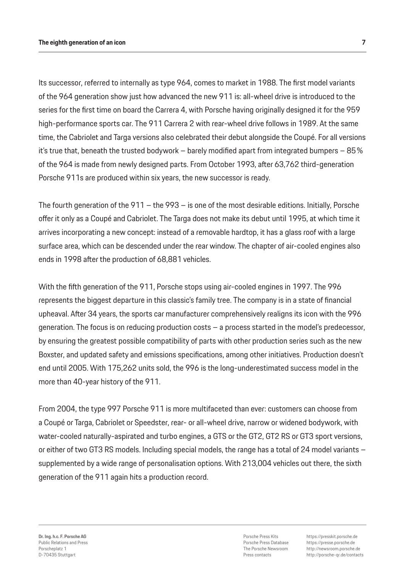Its successor, referred to internally as type 964, comes to market in 1988. The first model variants of the 964 generation show just how advanced the new 911 is: all-wheel drive is introduced to the series for the first time on board the Carrera 4, with Porsche having originally designed it for the 959 high-performance sports car. The 911 Carrera 2 with rear-wheel drive follows in 1989. At the same time, the Cabriolet and Targa versions also celebrated their debut alongside the Coupé. For all versions it's true that, beneath the trusted bodywork – barely modified apart from integrated bumpers –  $85\%$ of the 964 is made from newly designed parts. From October 1993, after 63,762 third-generation Porsche 911s are produced within six years, the new successor is ready.

The fourth generation of the 911 – the 993 – is one of the most desirable editions. Initially, Porsche offer it only as a Coupé and Cabriolet. The Targa does not make its debut until 1995, at which time it arrives incorporating a new concept: instead of a removable hardtop, it has a glass roof with a large surface area, which can be descended under the rear window. The chapter of air-cooled engines also ends in 1998 after the production of 68,881 vehicles.

With the fifth generation of the 911, Porsche stops using air-cooled engines in 1997. The 996 represents the biggest departure in this classic's family tree. The company is in a state of financial upheaval. After 34 years, the sports car manufacturer comprehensively realigns its icon with the 996 generation. The focus is on reducing production costs – a process started in the model's predecessor, by ensuring the greatest possible compatibility of parts with other production series such as the new Boxster, and updated safety and emissions specifications, among other initiatives. Production doesn't end until 2005. With 175,262 units sold, the 996 is the long-underestimated success model in the more than 40-year history of the 911.

From 2004, the type 997 Porsche 911 is more multifaceted than ever: customers can choose from a Coupé or Targa, Cabriolet or Speedster, rear- or all-wheel drive, narrow or widened bodywork, with water-cooled naturally-aspirated and turbo engines, a GTS or the GT2, GT2 RS or GT3 sport versions, or either of two GT3 RS models. Including special models, the range has a total of 24 model variants – supplemented by a wide range of personalisation options. With 213,004 vehicles out there, the sixth generation of the 911 again hits a production record.

Porsche Press Kits Porsche Press Database The Porsche Newsroom Press contacts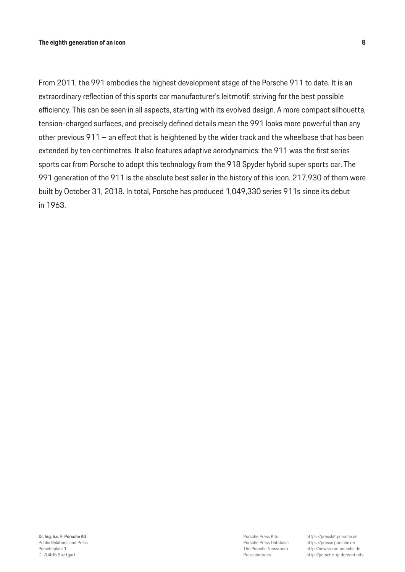From 2011, the 991 embodies the highest development stage of the Porsche 911 to date. It is an extraordinary reflection of this sports car manufacturer's leitmotif: striving for the best possible efficiency. This can be seen in all aspects, starting with its evolved design. A more compact silhouette, tension-charged surfaces, and precisely defined details mean the 991 looks more powerful than any other previous 911 – an effect that is heightened by the wider track and the wheelbase that has been extended by ten centimetres. It also features adaptive aerodynamics: the 911 was the first series sports car from Porsche to adopt this technology from the 918 Spyder hybrid super sports car. The 991 generation of the 911 is the absolute best seller in the history of this icon. 217,930 of them were built by October 31, 2018. In total, Porsche has produced 1,049,330 series 911s since its debut in 1963.

Porsche Press Kits Porsche Press Database The Porsche Newsroom Press contacts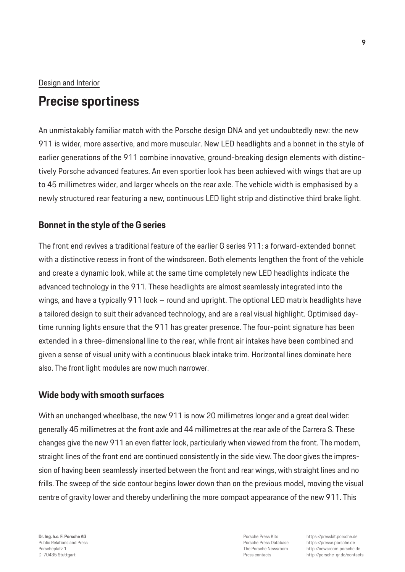### Design and Interior

## **Precise sportiness**

An unmistakably familiar match with the Porsche design DNA and yet undoubtedly new: the new 911 is wider, more assertive, and more muscular. New LED headlights and a bonnet in the style of earlier generations of the 911 combine innovative, ground-breaking design elements with distinctively Porsche advanced features. An even sportier look has been achieved with wings that are up to 45 millimetres wider, and larger wheels on the rear axle. The vehicle width is emphasised by a newly structured rear featuring a new, continuous LED light strip and distinctive third brake light.

## **Bonnet in the style of the G series**

The front end revives a traditional feature of the earlier G series 911: a forward-extended bonnet with a distinctive recess in front of the windscreen. Both elements lengthen the front of the vehicle and create a dynamic look, while at the same time completely new LED headlights indicate the advanced technology in the 911. These headlights are almost seamlessly integrated into the wings, and have a typically 911 look – round and upright. The optional LED matrix headlights have a tailored design to suit their advanced technology, and are a real visual highlight. Optimised daytime running lights ensure that the 911 has greater presence. The four-point signature has been extended in a three-dimensional line to the rear, while front air intakes have been combined and given a sense of visual unity with a continuous black intake trim. Horizontal lines dominate here also. The front light modules are now much narrower.

## **Wide body with smooth surfaces**

With an unchanged wheelbase, the new 911 is now 20 millimetres longer and a great deal wider: generally 45 millimetres at the front axle and 44 millimetres at the rear axle of the Carrera S. These changes give the new 911 an even flatter look, particularly when viewed from the front. The modern, straight lines of the front end are continued consistently in the side view. The door gives the impression of having been seamlessly inserted between the front and rear wings, with straight lines and no frills. The sweep of the side contour begins lower down than on the previous model, moving the visual centre of gravity lower and thereby underlining the more compact appearance of the new 911. This

**Dr. Ing. h.c. F. Porsche AG** Public Relations and Press Porscheplatz 1 D-70435 Stuttgart

Porsche Press Kits Porsche Press Database The Porsche Newsroom Press contacts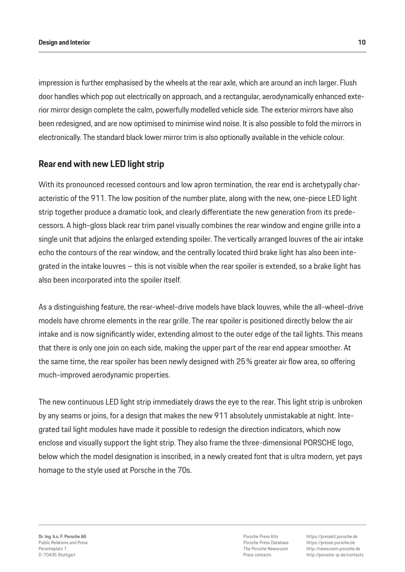impression is further emphasised by the wheels at the rear axle, which are around an inch larger. Flush door handles which pop out electrically on approach, and a rectangular, aerodynamically enhanced exterior mirror design complete the calm, powerfully modelled vehicle side. The exterior mirrors have also been redesigned, and are now optimised to minimise wind noise. It is also possible to fold the mirrors in electronically. The standard black lower mirror trim is also optionally available in the vehicle colour.

## **Rear end with new LED light strip**

With its pronounced recessed contours and low apron termination, the rear end is archetypally characteristic of the 911. The low position of the number plate, along with the new, one-piece LED light strip together produce a dramatic look, and clearly differentiate the new generation from its predecessors. A high-gloss black rear trim panel visually combines the rear window and engine grille into a single unit that adjoins the enlarged extending spoiler. The vertically arranged louvres of the air intake echo the contours of the rear window, and the centrally located third brake light has also been integrated in the intake louvres – this is not visible when the rear spoiler is extended, so a brake light has also been incorporated into the spoiler itself.

As a distinguishing feature, the rear-wheel-drive models have black louvres, while the all-wheel-drive models have chrome elements in the rear grille. The rear spoiler is positioned directly below the air intake and is now significantly wider, extending almost to the outer edge of the tail lights. This means that there is only one join on each side, making the upper part of the rear end appear smoother. At the same time, the rear spoiler has been newly designed with 25% greater air flow area, so offering much-improved aerodynamic properties.

The new continuous LED light strip immediately draws the eye to the rear. This light strip is unbroken by any seams or joins, for a design that makes the new 911 absolutely unmistakable at night. Integrated tail light modules have made it possible to redesign the direction indicators, which now enclose and visually support the light strip. They also frame the three-dimensional PORSCHE logo, below which the model designation is inscribed, in a newly created font that is ultra modern, yet pays homage to the style used at Porsche in the 70s.

Porsche Press Kits Porsche Press Database The Porsche Newsroom Press contacts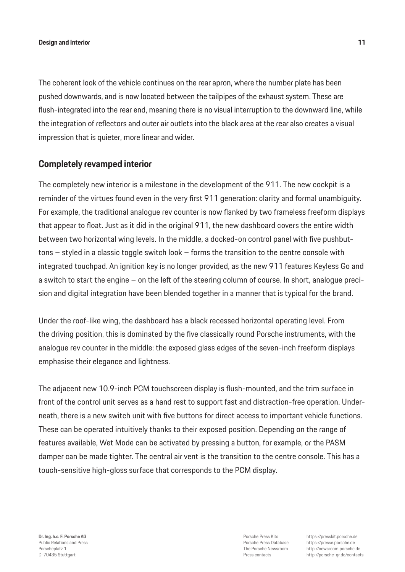The coherent look of the vehicle continues on the rear apron, where the number plate has been pushed downwards, and is now located between the tailpipes of the exhaust system. These are flush-integrated into the rear end, meaning there is no visual interruption to the downward line, while the integration of reflectors and outer air outlets into the black area at the rear also creates a visual impression that is quieter, more linear and wider.

## **Completely revamped interior**

The completely new interior is a milestone in the development of the 911. The new cockpit is a reminder of the virtues found even in the very first 911 generation: clarity and formal unambiguity. For example, the traditional analogue rev counter is now flanked by two frameless freeform displays that appear to float. Just as it did in the original 911, the new dashboard covers the entire width between two horizontal wing levels. In the middle, a docked-on control panel with five pushbuttons – styled in a classic toggle switch look – forms the transition to the centre console with integrated touchpad. An ignition key is no longer provided, as the new 911 features Keyless Go and a switch to start the engine – on the left of the steering column of course. In short, analogue precision and digital integration have been blended together in a manner that is typical for the brand.

Under the roof-like wing, the dashboard has a black recessed horizontal operating level. From the driving position, this is dominated by the five classically round Porsche instruments, with the analogue rev counter in the middle: the exposed glass edges of the seven-inch freeform displays emphasise their elegance and lightness.

The adjacent new 10.9-inch PCM touchscreen display is flush-mounted, and the trim surface in front of the control unit serves as a hand rest to support fast and distraction-free operation. Underneath, there is a new switch unit with five buttons for direct access to important vehicle functions. These can be operated intuitively thanks to their exposed position. Depending on the range of features available, Wet Mode can be activated by pressing a button, for example, or the PASM damper can be made tighter. The central air vent is the transition to the centre console. This has a touch-sensitive high-gloss surface that corresponds to the PCM display.

Porsche Press Kits Porsche Press Database The Porsche Newsroom Press contacts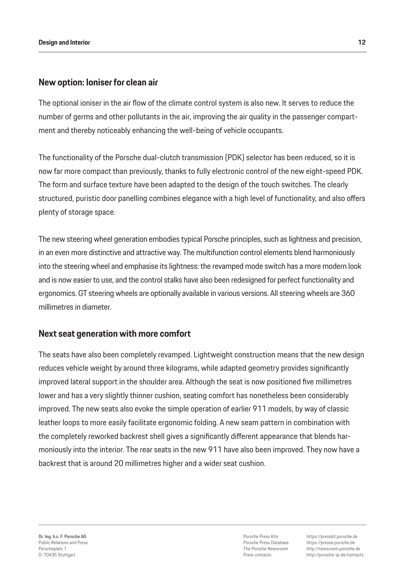### **New option: Ioniser for clean air**

The optional ioniser in the air flow of the climate control system is also new. It serves to reduce the number of germs and other pollutants in the air, improving the air quality in the passenger compartment and thereby noticeably enhancing the well-being of vehicle occupants.

The functionality of the Porsche dual-clutch transmission (PDK) selector has been reduced, so it is now far more compact than previously, thanks to fully electronic control of the new eight-speed PDK. The form and surface texture have been adapted to the design of the touch switches. The clearly structured, puristic door panelling combines elegance with a high level of functionality, and also offers plenty of storage space.

The new steering wheel generation embodies typical Porsche principles, such as lightness and precision, in an even more distinctive and attractive way. The multifunction control elements blend harmoniously into the steering wheel and emphasise its lightness: the revamped mode switch has a more modern look and is now easier to use, and the control stalks have also been redesigned for perfect functionality and ergonomics. GT steering wheels are optionally available in various versions. All steering wheels are 360 millimetres in diameter.

#### **Next seat generation with more comfort**

The seats have also been completely revamped. Lightweight construction means that the new design reduces vehicle weight by around three kilograms, while adapted geometry provides significantly improved lateral support in the shoulder area. Although the seat is now positioned five millimetres lower and has a very slightly thinner cushion, seating comfort has nonetheless been considerably improved. The new seats also evoke the simple operation of earlier 911 models, by way of classic leather loops to more easily facilitate ergonomic folding. A new seam pattern in combination with the completely reworked backrest shell gives a significantly different appearance that blends harmoniously into the interior. The rear seats in the new 911 have also been improved. They now have a backrest that is around 20 millimetres higher and a wider seat cushion.

Porsche Press Kits Porsche Press Database The Porsche Newsroom Press contacts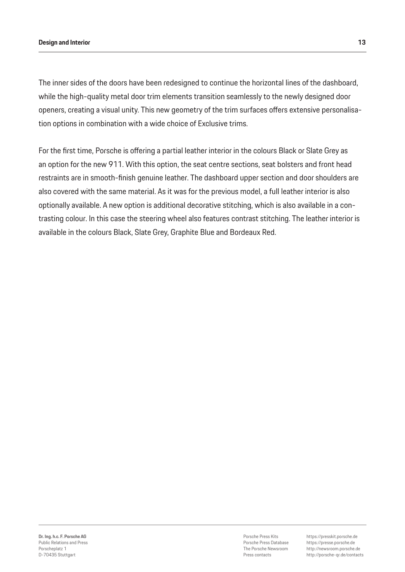#### **Design and Interior 13**

The inner sides of the doors have been redesigned to continue the horizontal lines of the dashboard, while the high-quality metal door trim elements transition seamlessly to the newly designed door openers, creating a visual unity. This new geometry of the trim surfaces offers extensive personalisation options in combination with a wide choice of Exclusive trims.

For the first time, Porsche is offering a partial leather interior in the colours Black or Slate Grey as an option for the new 911. With this option, the seat centre sections, seat bolsters and front head restraints are in smooth-finish genuine leather. The dashboard upper section and door shoulders are also covered with the same material. As it was for the previous model, a full leather interior is also optionally available. A new option is additional decorative stitching, which is also available in a contrasting colour. In this case the steering wheel also features contrast stitching. The leather interior is available in the colours Black, Slate Grey, Graphite Blue and Bordeaux Red.

Porsche Press Kits Porsche Press Database The Porsche Newsroom Press contacts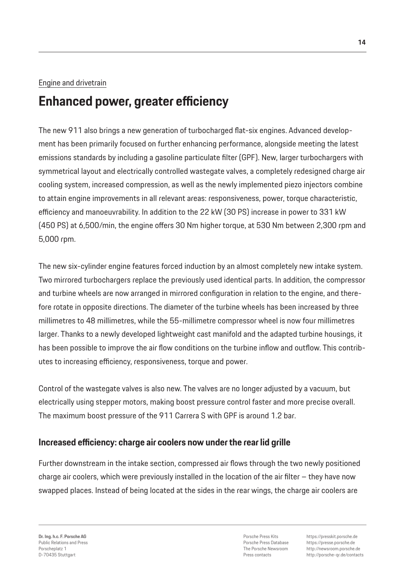### Engine and drivetrain

## **Enhanced power, greater efficiency**

The new 911 also brings a new generation of turbocharged flat-six engines. Advanced development has been primarily focused on further enhancing performance, alongside meeting the latest emissions standards by including a gasoline particulate filter (GPF). New, larger turbochargers with symmetrical layout and electrically controlled wastegate valves, a completely redesigned charge air cooling system, increased compression, as well as the newly implemented piezo injectors combine to attain engine improvements in all relevant areas: responsiveness, power, torque characteristic, efficiency and manoeuvrability. In addition to the 22 kW (30 PS) increase in power to 331 kW (450 PS) at 6,500/min, the engine offers 30 Nm higher torque, at 530 Nm between 2,300 rpm and 5,000 rpm.

The new six-cylinder engine features forced induction by an almost completely new intake system. Two mirrored turbochargers replace the previously used identical parts. In addition, the compressor and turbine wheels are now arranged in mirrored configuration in relation to the engine, and therefore rotate in opposite directions. The diameter of the turbine wheels has been increased by three millimetres to 48 millimetres, while the 55-millimetre compressor wheel is now four millimetres larger. Thanks to a newly developed lightweight cast manifold and the adapted turbine housings, it has been possible to improve the air flow conditions on the turbine inflow and outflow. This contributes to increasing efficiency, responsiveness, torque and power.

Control of the wastegate valves is also new. The valves are no longer adjusted by a vacuum, but electrically using stepper motors, making boost pressure control faster and more precise overall. The maximum boost pressure of the 911 Carrera S with GPF is around 1.2 bar.

## **Increased efficiency: charge air coolers now under the rear lid grille**

Further downstream in the intake section, compressed air flows through the two newly positioned charge air coolers, which were previously installed in the location of the air filter – they have now swapped places. Instead of being located at the sides in the rear wings, the charge air coolers are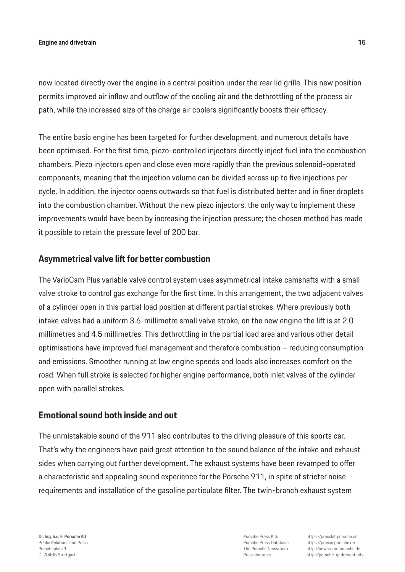#### **Engine and drivetrain 15**

now located directly over the engine in a central position under the rear lid grille. This new position permits improved air inflow and outflow of the cooling air and the dethrottling of the process air path, while the increased size of the charge air coolers significantly boosts their efficacy.

The entire basic engine has been targeted for further development, and numerous details have been optimised. For the first time, piezo-controlled injectors directly inject fuel into the combustion chambers. Piezo injectors open and close even more rapidly than the previous solenoid-operated components, meaning that the injection volume can be divided across up to five injections per cycle. In addition, the injector opens outwards so that fuel is distributed better and in finer droplets into the combustion chamber. Without the new piezo injectors, the only way to implement these improvements would have been by increasing the injection pressure; the chosen method has made it possible to retain the pressure level of 200 bar.

### **Asymmetrical valve lift for better combustion**

The VarioCam Plus variable valve control system uses asymmetrical intake camshafts with a small valve stroke to control gas exchange for the first time. In this arrangement, the two adjacent valves of a cylinder open in this partial load position at different partial strokes. Where previously both intake valves had a uniform 3.6-millimetre small valve stroke, on the new engine the lift is at 2.0 millimetres and 4.5 millimetres. This dethrottling in the partial load area and various other detail optimisations have improved fuel management and therefore combustion – reducing consumption and emissions. Smoother running at low engine speeds and loads also increases comfort on the road. When full stroke is selected for higher engine performance, both inlet valves of the cylinder open with parallel strokes.

#### **Emotional sound both inside and out**

The unmistakable sound of the 911 also contributes to the driving pleasure of this sports car. That's why the engineers have paid great attention to the sound balance of the intake and exhaust sides when carrying out further development. The exhaust systems have been revamped to offer a characteristic and appealing sound experience for the Porsche 911, in spite of stricter noise requirements and installation of the gasoline particulate filter. The twin-branch exhaust system

Porsche Press Kits Porsche Press Database The Porsche Newsroom Press contacts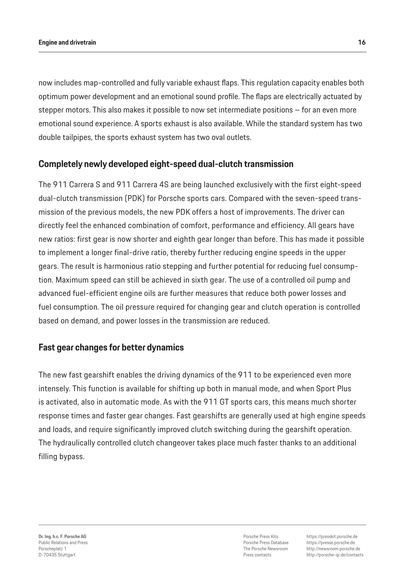now includes map-controlled and fully variable exhaust flaps. This regulation capacity enables both optimum power development and an emotional sound profile. The flaps are electrically actuated by stepper motors. This also makes it possible to now set intermediate positions – for an even more emotional sound experience. A sports exhaust is also available. While the standard system has two double tailpipes, the sports exhaust system has two oval outlets.

## **Completely newly developed eight-speed dual-clutch transmission**

The 911 Carrera S and 911 Carrera 4S are being launched exclusively with the first eight-speed dual-clutch transmission (PDK) for Porsche sports cars. Compared with the seven-speed transmission of the previous models, the new PDK offers a host of improvements. The driver can directly feel the enhanced combination of comfort, performance and efficiency. All gears have new ratios: first gear is now shorter and eighth gear longer than before. This has made it possible to implement a longer final-drive ratio, thereby further reducing engine speeds in the upper gears. The result is harmonious ratio stepping and further potential for reducing fuel consumption. Maximum speed can still be achieved in sixth gear. The use of a controlled oil pump and advanced fuel-efficient engine oils are further measures that reduce both power losses and fuel consumption. The oil pressure required for changing gear and clutch operation is controlled based on demand, and power losses in the transmission are reduced.

#### **Fast gear changes for better dynamics**

The new fast gearshift enables the driving dynamics of the 911 to be experienced even more intensely. This function is available for shifting up both in manual mode, and when Sport Plus is activated, also in automatic mode. As with the 911 GT sports cars, this means much shorter response times and faster gear changes. Fast gearshifts are generally used at high engine speeds and loads, and require significantly improved clutch switching during the gearshift operation. The hydraulically controlled clutch changeover takes place much faster thanks to an additional filling bypass.

**Dr. Ing. h.c. F. Porsche AG** Public Relations and Press Porscheplatz 1 D-70435 Stuttgart

Porsche Press Kits Porsche Press Database The Porsche Newsroom Press contacts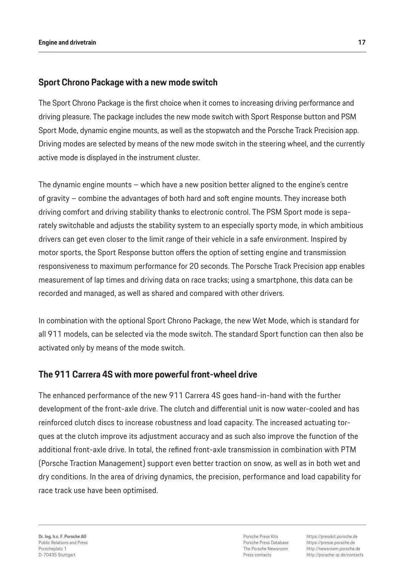## **Sport Chrono Package with a new mode switch**

The Sport Chrono Package is the first choice when it comes to increasing driving performance and driving pleasure. The package includes the new mode switch with Sport Response button and PSM Sport Mode, dynamic engine mounts, as well as the stopwatch and the Porsche Track Precision app. Driving modes are selected by means of the new mode switch in the steering wheel, and the currently active mode is displayed in the instrument cluster.

The dynamic engine mounts – which have a new position better aligned to the engine's centre of gravity – combine the advantages of both hard and soft engine mounts. They increase both driving comfort and driving stability thanks to electronic control. The PSM Sport mode is separately switchable and adjusts the stability system to an especially sporty mode, in which ambitious drivers can get even closer to the limit range of their vehicle in a safe environment. Inspired by motor sports, the Sport Response button offers the option of setting engine and transmission responsiveness to maximum performance for 20 seconds. The Porsche Track Precision app enables measurement of lap times and driving data on race tracks; using a smartphone, this data can be recorded and managed, as well as shared and compared with other drivers.

In combination with the optional Sport Chrono Package, the new Wet Mode, which is standard for all 911 models, can be selected via the mode switch. The standard Sport function can then also be activated only by means of the mode switch.

## **The 911 Carrera 4S with more powerful front-wheel drive**

The enhanced performance of the new 911 Carrera 4S goes hand-in-hand with the further development of the front-axle drive. The clutch and differential unit is now water-cooled and has reinforced clutch discs to increase robustness and load capacity. The increased actuating torques at the clutch improve its adjustment accuracy and as such also improve the function of the additional front-axle drive. In total, the refined front-axle transmission in combination with PTM (Porsche Traction Management) support even better traction on snow, as well as in both wet and dry conditions. In the area of driving dynamics, the precision, performance and load capability for race track use have been optimised.

Porsche Press Kits Porsche Press Database The Porsche Newsroom Press contacts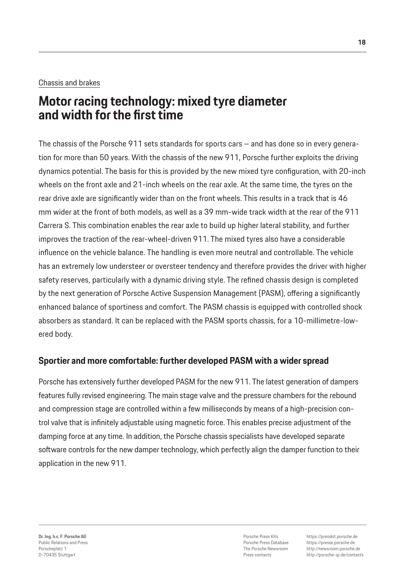#### Chassis and brakes

## **Motor racing technology: mixed tyre diameter and width for the first time**

The chassis of the Porsche 911 sets standards for sports cars – and has done so in every generation for more than 50 years. With the chassis of the new 911, Porsche further exploits the driving dynamics potential. The basis for this is provided by the new mixed tyre configuration, with 20-inch wheels on the front axle and 21-inch wheels on the rear axle. At the same time, the tyres on the rear drive axle are significantly wider than on the front wheels. This results in a track that is 46 mm wider at the front of both models, as well as a 39 mm-wide track width at the rear of the 911 Carrera S. This combination enables the rear axle to build up higher lateral stability, and further improves the traction of the rear-wheel-driven 911. The mixed tyres also have a considerable influence on the vehicle balance. The handling is even more neutral and controllable. The vehicle has an extremely low understeer or oversteer tendency and therefore provides the driver with higher safety reserves, particularly with a dynamic driving style. The refined chassis design is completed by the next generation of Porsche Active Suspension Management (PASM), offering a significantly enhanced balance of sportiness and comfort. The PASM chassis is equipped with controlled shock absorbers as standard. It can be replaced with the PASM sports chassis, for a 10-millimetre-lowered body.

## **Sportier and more comfortable: further developed PASM with a wider spread**

Porsche has extensively further developed PASM for the new 911. The latest generation of dampers features fully revised engineering. The main stage valve and the pressure chambers for the rebound and compression stage are controlled within a few milliseconds by means of a high-precision control valve that is infinitely adjustable using magnetic force. This enables precise adjustment of the damping force at any time. In addition, the Porsche chassis specialists have developed separate software controls for the new damper technology, which perfectly align the damper function to their application in the new 911.

Porsche Press Kits Porsche Press Database The Porsche Newsroom Press contacts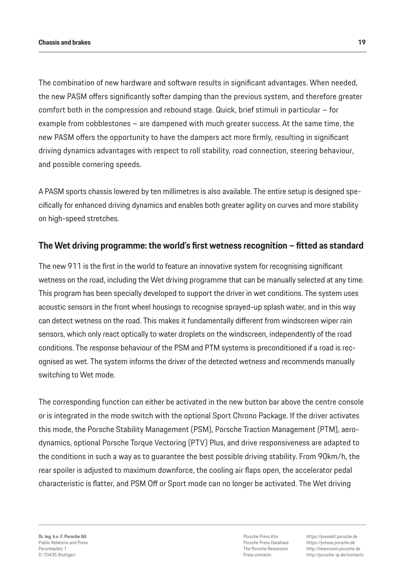The combination of new hardware and software results in significant advantages. When needed, the new PASM offers significantly softer damping than the previous system, and therefore greater comfort both in the compression and rebound stage. Quick, brief stimuli in particular – for example from cobblestones – are dampened with much greater success. At the same time, the new PASM offers the opportunity to have the dampers act more firmly, resulting in significant driving dynamics advantages with respect to roll stability, road connection, steering behaviour, and possible cornering speeds.

A PASM sports chassis lowered by ten millimetres is also available. The entire setup is designed specifically for enhanced driving dynamics and enables both greater agility on curves and more stability on high-speed stretches.

## **The Wet driving programme: the world's first wetness recognition – fitted as standard**

The new 911 is the first in the world to feature an innovative system for recognising significant wetness on the road, including the Wet driving programme that can be manually selected at any time. This program has been specially developed to support the driver in wet conditions. The system uses acoustic sensors in the front wheel housings to recognise sprayed-up splash water, and in this way can detect wetness on the road. This makes it fundamentally different from windscreen wiper rain sensors, which only react optically to water droplets on the windscreen, independently of the road conditions. The response behaviour of the PSM and PTM systems is preconditioned if a road is recognised as wet. The system informs the driver of the detected wetness and recommends manually switching to Wet mode.

The corresponding function can either be activated in the new button bar above the centre console or is integrated in the mode switch with the optional Sport Chrono Package. If the driver activates this mode, the Porsche Stability Management (PSM), Porsche Traction Management (PTM), aerodynamics, optional Porsche Torque Vectoring (PTV) Plus, and drive responsiveness are adapted to the conditions in such a way as to guarantee the best possible driving stability. From 90km/h, the rear spoiler is adjusted to maximum downforce, the cooling air flaps open, the accelerator pedal characteristic is flatter, and PSM Off or Sport mode can no longer be activated. The Wet driving

Porsche Press Kits Porsche Press Database The Porsche Newsroom Press contacts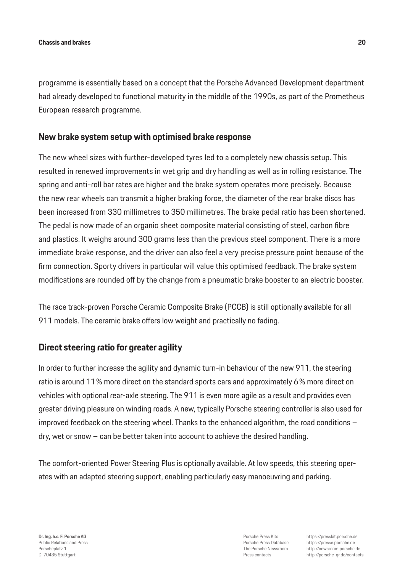programme is essentially based on a concept that the Porsche Advanced Development department had already developed to functional maturity in the middle of the 1990s, as part of the Prometheus European research programme.

## **New brake system setup with optimised brake response**

The new wheel sizes with further-developed tyres led to a completely new chassis setup. This resulted in renewed improvements in wet grip and dry handling as well as in rolling resistance. The spring and anti-roll bar rates are higher and the brake system operates more precisely. Because the new rear wheels can transmit a higher braking force, the diameter of the rear brake discs has been increased from 330 millimetres to 350 millimetres. The brake pedal ratio has been shortened. The pedal is now made of an organic sheet composite material consisting of steel, carbon fibre and plastics. It weighs around 300 grams less than the previous steel component. There is a more immediate brake response, and the driver can also feel a very precise pressure point because of the firm connection. Sporty drivers in particular will value this optimised feedback. The brake system modifications are rounded off by the change from a pneumatic brake booster to an electric booster.

The race track-proven Porsche Ceramic Composite Brake (PCCB) is still optionally available for all 911 models. The ceramic brake offers low weight and practically no fading.

## **Direct steering ratio for greater agility**

In order to further increase the agility and dynamic turn-in behaviour of the new 911, the steering ratio is around 11% more direct on the standard sports cars and approximately 6% more direct on vehicles with optional rear-axle steering. The 911 is even more agile as a result and provides even greater driving pleasure on winding roads. A new, typically Porsche steering controller is also used for improved feedback on the steering wheel. Thanks to the enhanced algorithm, the road conditions – dry, wet or snow – can be better taken into account to achieve the desired handling.

The comfort-oriented Power Steering Plus is optionally available. At low speeds, this steering operates with an adapted steering support, enabling particularly easy manoeuvring and parking.

Porsche Press Kits Porsche Press Database The Porsche Newsroom Press contacts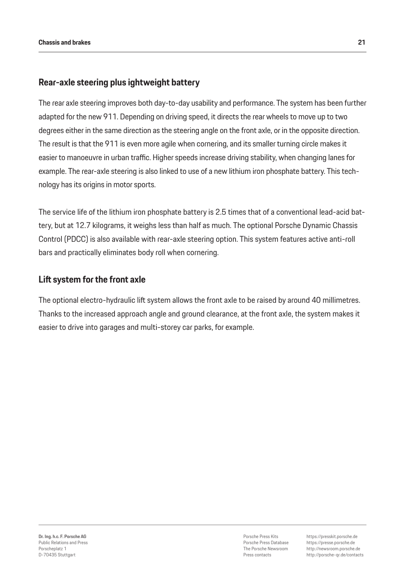## **Rear-axle steering plus ightweight battery**

The rear axle steering improves both day-to-day usability and performance. The system has been further adapted for the new 911. Depending on driving speed, it directs the rear wheels to move up to two degrees either in the same direction as the steering angle on the front axle, or in the opposite direction. The result is that the 911 is even more agile when cornering, and its smaller turning circle makes it easier to manoeuvre in urban traffic. Higher speeds increase driving stability, when changing lanes for example. The rear-axle steering is also linked to use of a new lithium iron phosphate battery. This technology has its origins in motor sports.

The service life of the lithium iron phosphate battery is 2.5 times that of a conventional lead-acid battery, but at 12.7 kilograms, it weighs less than half as much. The optional Porsche Dynamic Chassis Control (PDCC) is also available with rear-axle steering option. This system features active anti-roll bars and practically eliminates body roll when cornering.

#### **Lift system for the front axle**

The optional electro-hydraulic lift system allows the front axle to be raised by around 40 millimetres. Thanks to the increased approach angle and ground clearance, at the front axle, the system makes it easier to drive into garages and multi-storey car parks, for example.

Porsche Press Kits Porsche Press Database The Porsche Newsroom Press contacts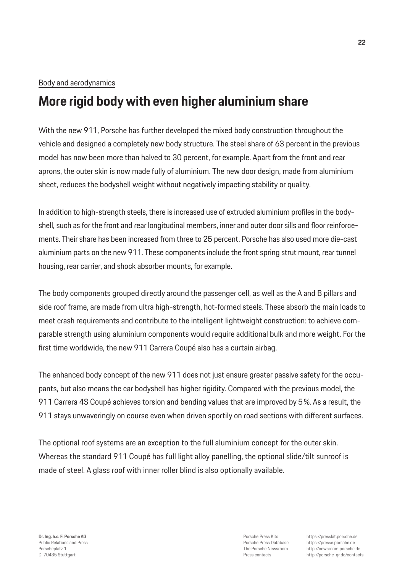#### Body and aerodynamics

## **More rigid body with even higher aluminium share**

With the new 911, Porsche has further developed the mixed body construction throughout the vehicle and designed a completely new body structure. The steel share of 63 percent in the previous model has now been more than halved to 30 percent, for example. Apart from the front and rear aprons, the outer skin is now made fully of aluminium. The new door design, made from aluminium sheet, reduces the bodyshell weight without negatively impacting stability or quality.

In addition to high-strength steels, there is increased use of extruded aluminium profiles in the bodyshell, such as for the front and rear longitudinal members, inner and outer door sills and floor reinforcements. Their share has been increased from three to 25 percent. Porsche has also used more die-cast aluminium parts on the new 911. These components include the front spring strut mount, rear tunnel housing, rear carrier, and shock absorber mounts, for example.

The body components grouped directly around the passenger cell, as well as the A and B pillars and side roof frame, are made from ultra high-strength, hot-formed steels. These absorb the main loads to meet crash requirements and contribute to the intelligent lightweight construction: to achieve comparable strength using aluminium components would require additional bulk and more weight. For the first time worldwide, the new 911 Carrera Coupé also has a curtain airbag.

The enhanced body concept of the new 911 does not just ensure greater passive safety for the occupants, but also means the car bodyshell has higher rigidity. Compared with the previous model, the 911 Carrera 4S Coupé achieves torsion and bending values that are improved by 5%. As a result, the 911 stays unwaveringly on course even when driven sportily on road sections with different surfaces.

The optional roof systems are an exception to the full aluminium concept for the outer skin. Whereas the standard 911 Coupé has full light alloy panelling, the optional slide/tilt sunroof is made of steel. A glass roof with inner roller blind is also optionally available.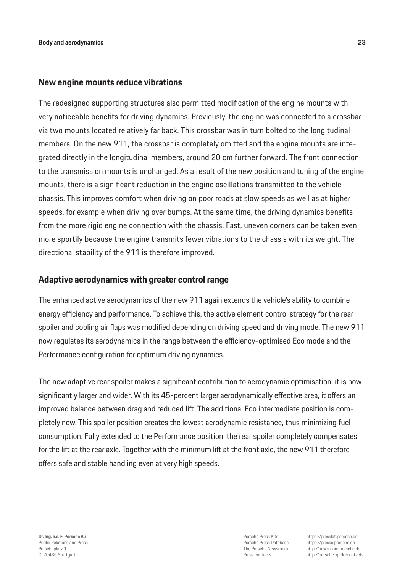#### **New engine mounts reduce vibrations**

The redesigned supporting structures also permitted modification of the engine mounts with very noticeable benefits for driving dynamics. Previously, the engine was connected to a crossbar via two mounts located relatively far back. This crossbar was in turn bolted to the longitudinal members. On the new 911, the crossbar is completely omitted and the engine mounts are integrated directly in the longitudinal members, around 20 cm further forward. The front connection to the transmission mounts is unchanged. As a result of the new position and tuning of the engine mounts, there is a significant reduction in the engine oscillations transmitted to the vehicle chassis. This improves comfort when driving on poor roads at slow speeds as well as at higher speeds, for example when driving over bumps. At the same time, the driving dynamics benefits from the more rigid engine connection with the chassis. Fast, uneven corners can be taken even more sportily because the engine transmits fewer vibrations to the chassis with its weight. The directional stability of the 911 is therefore improved.

### **Adaptive aerodynamics with greater control range**

The enhanced active aerodynamics of the new 911 again extends the vehicle's ability to combine energy efficiency and performance. To achieve this, the active element control strategy for the rear spoiler and cooling air flaps was modified depending on driving speed and driving mode. The new 911 now regulates its aerodynamics in the range between the efficiency-optimised Eco mode and the Performance configuration for optimum driving dynamics.

The new adaptive rear spoiler makes a significant contribution to aerodynamic optimisation: it is now significantly larger and wider. With its 45-percent larger aerodynamically effective area, it offers an improved balance between drag and reduced lift. The additional Eco intermediate position is completely new. This spoiler position creates the lowest aerodynamic resistance, thus minimizing fuel consumption. Fully extended to the Performance position, the rear spoiler completely compensates for the lift at the rear axle. Together with the minimum lift at the front axle, the new 911 therefore offers safe and stable handling even at very high speeds.

Porsche Press Kits Porsche Press Database The Porsche Newsroom Press contacts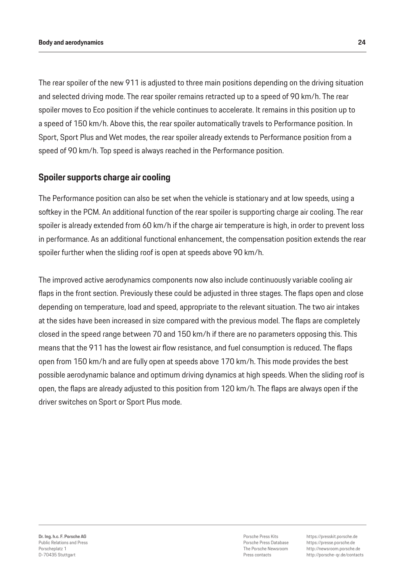#### **Body and aerodynamics 24**

The rear spoiler of the new 911 is adjusted to three main positions depending on the driving situation and selected driving mode. The rear spoiler remains retracted up to a speed of 90 km/h. The rear spoiler moves to Eco position if the vehicle continues to accelerate. It remains in this position up to a speed of 150 km/h. Above this, the rear spoiler automatically travels to Performance position. In Sport, Sport Plus and Wet modes, the rear spoiler already extends to Performance position from a speed of 90 km/h. Top speed is always reached in the Performance position.

## **Spoiler supports charge air cooling**

The Performance position can also be set when the vehicle is stationary and at low speeds, using a softkey in the PCM. An additional function of the rear spoiler is supporting charge air cooling. The rear spoiler is already extended from 60 km/h if the charge air temperature is high, in order to prevent loss in performance. As an additional functional enhancement, the compensation position extends the rear spoiler further when the sliding roof is open at speeds above 90 km/h.

The improved active aerodynamics components now also include continuously variable cooling air flaps in the front section. Previously these could be adjusted in three stages. The flaps open and close depending on temperature, load and speed, appropriate to the relevant situation. The two air intakes at the sides have been increased in size compared with the previous model. The flaps are completely closed in the speed range between 70 and 150 km/h if there are no parameters opposing this. This means that the 911 has the lowest air flow resistance, and fuel consumption is reduced. The flaps open from 150 km/h and are fully open at speeds above 170 km/h. This mode provides the best possible aerodynamic balance and optimum driving dynamics at high speeds. When the sliding roof is open, the flaps are already adjusted to this position from 120 km/h. The flaps are always open if the driver switches on Sport or Sport Plus mode.

Porsche Press Kits Porsche Press Database The Porsche Newsroom Press contacts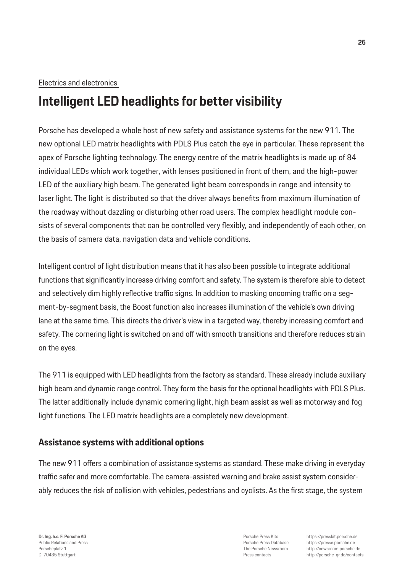### Electrics and electronics

## **Intelligent LED headlights for better visibility**

Porsche has developed a whole host of new safety and assistance systems for the new 911. The new optional LED matrix headlights with PDLS Plus catch the eye in particular. These represent the apex of Porsche lighting technology. The energy centre of the matrix headlights is made up of 84 individual LEDs which work together, with lenses positioned in front of them, and the high-power LED of the auxiliary high beam. The generated light beam corresponds in range and intensity to laser light. The light is distributed so that the driver always benefits from maximum illumination of the roadway without dazzling or disturbing other road users. The complex headlight module consists of several components that can be controlled very flexibly, and independently of each other, on the basis of camera data, navigation data and vehicle conditions.

Intelligent control of light distribution means that it has also been possible to integrate additional functions that significantly increase driving comfort and safety. The system is therefore able to detect and selectively dim highly reflective traffic signs. In addition to masking oncoming traffic on a segment-by-segment basis, the Boost function also increases illumination of the vehicle's own driving lane at the same time. This directs the driver's view in a targeted way, thereby increasing comfort and safety. The cornering light is switched on and off with smooth transitions and therefore reduces strain on the eyes.

The 911 is equipped with LED headlights from the factory as standard. These already include auxiliary high beam and dynamic range control. They form the basis for the optional headlights with PDLS Plus. The latter additionally include dynamic cornering light, high beam assist as well as motorway and fog light functions. The LED matrix headlights are a completely new development.

## **Assistance systems with additional options**

The new 911 offers a combination of assistance systems as standard. These make driving in everyday traffic safer and more comfortable. The camera-assisted warning and brake assist system considerably reduces the risk of collision with vehicles, pedestrians and cyclists. As the first stage, the system

Porsche Press Kits Porsche Press Database The Porsche Newsroom Press contacts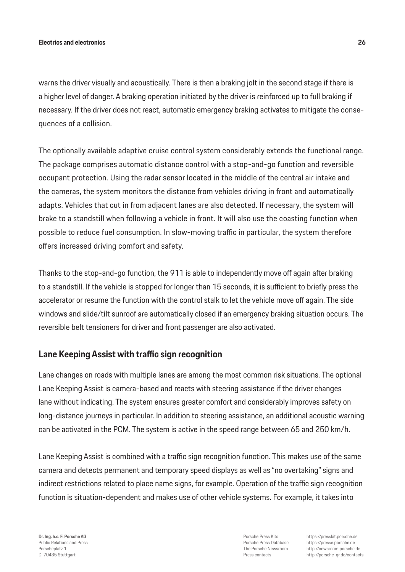warns the driver visually and acoustically. There is then a braking jolt in the second stage if there is a higher level of danger. A braking operation initiated by the driver is reinforced up to full braking if necessary. If the driver does not react, automatic emergency braking activates to mitigate the consequences of a collision.

The optionally available adaptive cruise control system considerably extends the functional range. The package comprises automatic distance control with a stop-and-go function and reversible occupant protection. Using the radar sensor located in the middle of the central air intake and the cameras, the system monitors the distance from vehicles driving in front and automatically adapts. Vehicles that cut in from adjacent lanes are also detected. If necessary, the system will brake to a standstill when following a vehicle in front. It will also use the coasting function when possible to reduce fuel consumption. In slow-moving traffic in particular, the system therefore offers increased driving comfort and safety.

Thanks to the stop-and-go function, the 911 is able to independently move off again after braking to a standstill. If the vehicle is stopped for longer than 15 seconds, it is sufficient to briefly press the accelerator or resume the function with the control stalk to let the vehicle move off again. The side windows and slide/tilt sunroof are automatically closed if an emergency braking situation occurs. The reversible belt tensioners for driver and front passenger are also activated.

## **Lane Keeping Assist with traffic sign recognition**

Lane changes on roads with multiple lanes are among the most common risk situations. The optional Lane Keeping Assist is camera-based and reacts with steering assistance if the driver changes lane without indicating. The system ensures greater comfort and considerably improves safety on long-distance journeys in particular. In addition to steering assistance, an additional acoustic warning can be activated in the PCM. The system is active in the speed range between 65 and 250 km/h.

Lane Keeping Assist is combined with a traffic sign recognition function. This makes use of the same camera and detects permanent and temporary speed displays as well as "no overtaking" signs and indirect restrictions related to place name signs, for example. Operation of the traffic sign recognition function is situation-dependent and makes use of other vehicle systems. For example, it takes into

**Dr. Ing. h.c. F. Porsche AG** Public Relations and Press Porscheplatz 1 D-70435 Stuttgart

Porsche Press Kits Porsche Press Database The Porsche Newsroom Press contacts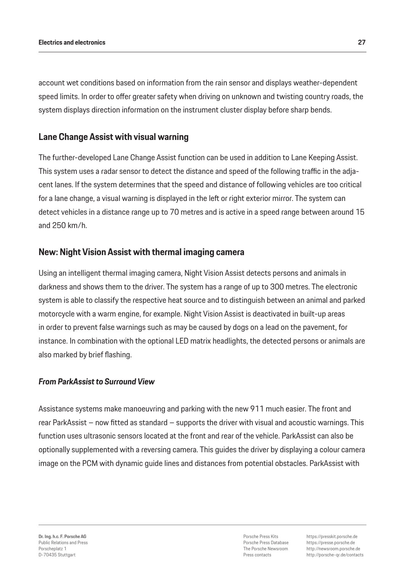account wet conditions based on information from the rain sensor and displays weather-dependent speed limits. In order to offer greater safety when driving on unknown and twisting country roads, the system displays direction information on the instrument cluster display before sharp bends.

## **Lane Change Assist with visual warning**

The further-developed Lane Change Assist function can be used in addition to Lane Keeping Assist. This system uses a radar sensor to detect the distance and speed of the following traffic in the adjacent lanes. If the system determines that the speed and distance of following vehicles are too critical for a lane change, a visual warning is displayed in the left or right exterior mirror. The system can detect vehicles in a distance range up to 70 metres and is active in a speed range between around 15 and 250 km/h.

### **New: Night Vision Assist with thermal imaging camera**

Using an intelligent thermal imaging camera, Night Vision Assist detects persons and animals in darkness and shows them to the driver. The system has a range of up to 300 metres. The electronic system is able to classify the respective heat source and to distinguish between an animal and parked motorcycle with a warm engine, for example. Night Vision Assist is deactivated in built-up areas in order to prevent false warnings such as may be caused by dogs on a lead on the pavement, for instance. In combination with the optional LED matrix headlights, the detected persons or animals are also marked by brief flashing.

#### *From ParkAssist to Surround View*

Assistance systems make manoeuvring and parking with the new 911 much easier. The front and rear ParkAssist – now fitted as standard – supports the driver with visual and acoustic warnings. This function uses ultrasonic sensors located at the front and rear of the vehicle. ParkAssist can also be optionally supplemented with a reversing camera. This guides the driver by displaying a colour camera image on the PCM with dynamic guide lines and distances from potential obstacles. ParkAssist with

Porsche Press Kits Porsche Press Database The Porsche Newsroom Press contacts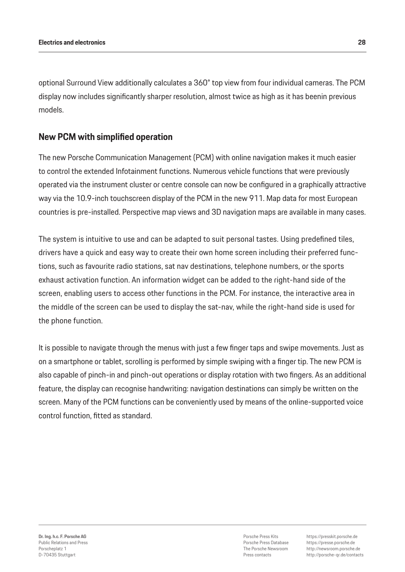optional Surround View additionally calculates a 360° top view from four individual cameras. The PCM display now includes significantly sharper resolution, almost twice as high as it has beenin previous models.

## **New PCM with simplified operation**

The new Porsche Communication Management (PCM) with online navigation makes it much easier to control the extended Infotainment functions. Numerous vehicle functions that were previously operated via the instrument cluster or centre console can now be configured in a graphically attractive way via the 10.9-inch touchscreen display of the PCM in the new 911. Map data for most European countries is pre-installed. Perspective map views and 3D navigation maps are available in many cases.

The system is intuitive to use and can be adapted to suit personal tastes. Using predefined tiles, drivers have a quick and easy way to create their own home screen including their preferred functions, such as favourite radio stations, sat nav destinations, telephone numbers, or the sports exhaust activation function. An information widget can be added to the right-hand side of the screen, enabling users to access other functions in the PCM. For instance, the interactive area in the middle of the screen can be used to display the sat-nav, while the right-hand side is used for the phone function.

It is possible to navigate through the menus with just a few finger taps and swipe movements. Just as on a smartphone or tablet, scrolling is performed by simple swiping with a finger tip. The new PCM is also capable of pinch-in and pinch-out operations or display rotation with two fingers. As an additional feature, the display can recognise handwriting: navigation destinations can simply be written on the screen. Many of the PCM functions can be conveniently used by means of the online-supported voice control function, fitted as standard.

Porsche Press Kits Porsche Press Database The Porsche Newsroom Press contacts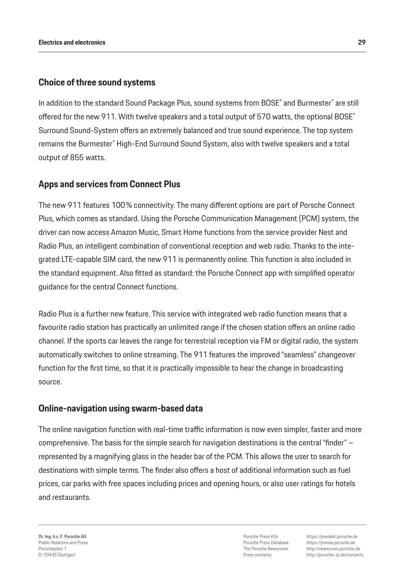## **Choice of three sound systems**

In addition to the standard Sound Package Plus, sound systems from BOSE® and Burmester® are still offered for the new 911. With twelve speakers and a total output of 570 watts, the optional BOSE<sup>®</sup> Surround Sound-System offers an extremely balanced and true sound experience. The top system remains the Burmester® High-End Surround Sound System, also with twelve speakers and a total output of 855 watts.

## **Apps and services from Connect Plus**

The new 911 features 100% connectivity. The many different options are part of Porsche Connect Plus, which comes as standard. Using the Porsche Communication Management (PCM) system, the driver can now access Amazon Music, Smart Home functions from the service provider Nest and Radio Plus, an intelligent combination of conventional reception and web radio. Thanks to the integrated LTE-capable SIM card, the new 911 is permanently online. This function is also included in the standard equipment. Also fitted as standard: the Porsche Connect app with simplified operator guidance for the central Connect functions.

Radio Plus is a further new feature. This service with integrated web radio function means that a favourite radio station has practically an unlimited range if the chosen station offers an online radio channel. If the sports car leaves the range for terrestrial reception via FM or digital radio, the system automatically switches to online streaming. The 911 features the improved "seamless" changeover function for the first time, so that it is practically impossible to hear the change in broadcasting source.

## **Online-navigation using swarm-based data**

The online navigation function with real-time traffic information is now even simpler, faster and more comprehensive. The basis for the simple search for navigation destinations is the central "finder" – represented by a magnifying glass in the header bar of the PCM. This allows the user to search for destinations with simple terms. The finder also offers a host of additional information such as fuel prices, car parks with free spaces including prices and opening hours, or also user ratings for hotels and restaurants.

**Dr. Ing. h.c. F. Porsche AG** Public Relations and Press Porscheplatz 1 D-70435 Stuttgart

Porsche Press Kits Porsche Press Database The Porsche Newsroom Press contacts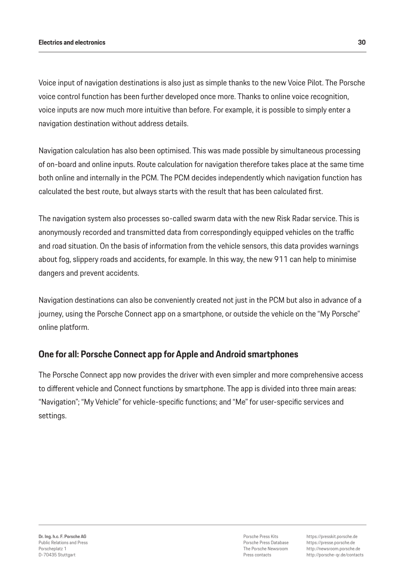Voice input of navigation destinations is also just as simple thanks to the new Voice Pilot. The Porsche voice control function has been further developed once more. Thanks to online voice recognition, voice inputs are now much more intuitive than before. For example, it is possible to simply enter a navigation destination without address details.

Navigation calculation has also been optimised. This was made possible by simultaneous processing of on-board and online inputs. Route calculation for navigation therefore takes place at the same time both online and internally in the PCM. The PCM decides independently which navigation function has calculated the best route, but always starts with the result that has been calculated first.

The navigation system also processes so-called swarm data with the new Risk Radar service. This is anonymously recorded and transmitted data from correspondingly equipped vehicles on the traffic and road situation. On the basis of information from the vehicle sensors, this data provides warnings about fog, slippery roads and accidents, for example. In this way, the new 911 can help to minimise dangers and prevent accidents.

Navigation destinations can also be conveniently created not just in the PCM but also in advance of a journey, using the Porsche Connect app on a smartphone, or outside the vehicle on the "My Porsche" online platform.

## **One for all: Porsche Connect app for Apple and Android smartphones**

The Porsche Connect app now provides the driver with even simpler and more comprehensive access to different vehicle and Connect functions by smartphone. The app is divided into three main areas: "Navigation"; "My Vehicle" for vehicle-specific functions; and "Me" for user-specific services and settings.

Porsche Press Kits Porsche Press Database The Porsche Newsroom Press contacts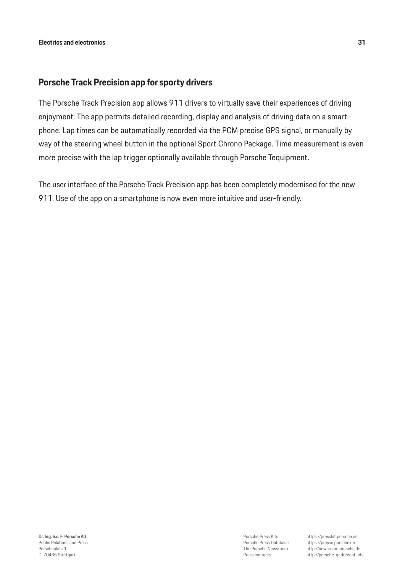### **Porsche Track Precision app for sporty drivers**

The Porsche Track Precision app allows 911 drivers to virtually save their experiences of driving enjoyment: The app permits detailed recording, display and analysis of driving data on a smartphone. Lap times can be automatically recorded via the PCM precise GPS signal, or manually by way of the steering wheel button in the optional Sport Chrono Package. Time measurement is even more precise with the lap trigger optionally available through Porsche Tequipment.

The user interface of the Porsche Track Precision app has been completely modernised for the new 911. Use of the app on a smartphone is now even more intuitive and user-friendly.

Porsche Press Kits Porsche Press Database The Porsche Newsroom Press contacts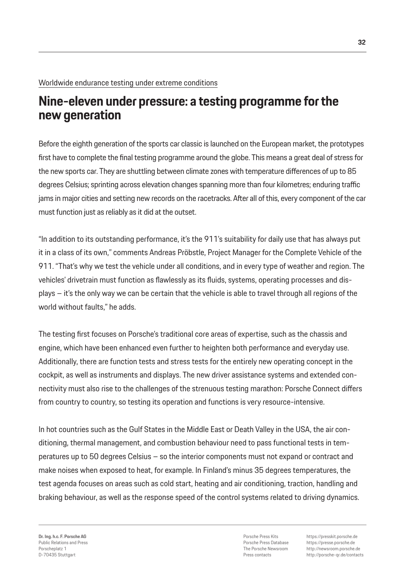## **Nine-eleven under pressure: a testing programme for the new generation**

Before the eighth generation of the sports car classic is launched on the European market, the prototypes first have to complete the final testing programme around the globe. This means a great deal of stress for the new sports car. They are shuttling between climate zones with temperature differences of up to 85 degrees Celsius; sprinting across elevation changes spanning more than four kilometres; enduring traffic jams in major cities and setting new records on the racetracks. After all of this, every component of the car must function just as reliably as it did at the outset.

"In addition to its outstanding performance, it's the 911's suitability for daily use that has always put it in a class of its own," comments Andreas Pröbstle, Project Manager for the Complete Vehicle of the 911. "That's why we test the vehicle under all conditions, and in every type of weather and region. The vehicles' drivetrain must function as flawlessly as its fluids, systems, operating processes and displays – it's the only way we can be certain that the vehicle is able to travel through all regions of the world without faults," he adds.

The testing first focuses on Porsche's traditional core areas of expertise, such as the chassis and engine, which have been enhanced even further to heighten both performance and everyday use. Additionally, there are function tests and stress tests for the entirely new operating concept in the cockpit, as well as instruments and displays. The new driver assistance systems and extended connectivity must also rise to the challenges of the strenuous testing marathon: Porsche Connect differs from country to country, so testing its operation and functions is very resource-intensive.

In hot countries such as the Gulf States in the Middle East or Death Valley in the USA, the air conditioning, thermal management, and combustion behaviour need to pass functional tests in temperatures up to 50 degrees Celsius – so the interior components must not expand or contract and make noises when exposed to heat, for example. In Finland's minus 35 degrees temperatures, the test agenda focuses on areas such as cold start, heating and air conditioning, traction, handling and braking behaviour, as well as the response speed of the control systems related to driving dynamics.

Porsche Press Kits Porsche Press Database The Porsche Newsroom Press contacts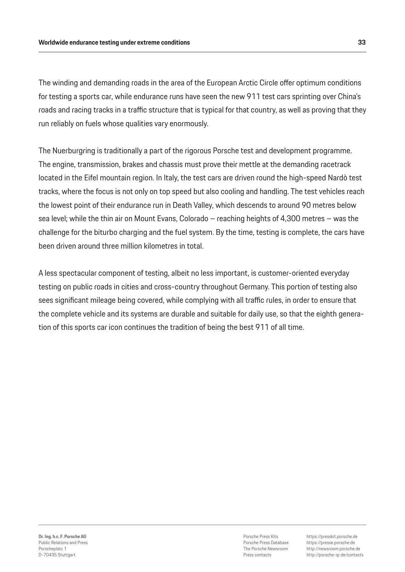The winding and demanding roads in the area of the European Arctic Circle offer optimum conditions for testing a sports car, while endurance runs have seen the new 911 test cars sprinting over China's roads and racing tracks in a traffic structure that is typical for that country, as well as proving that they run reliably on fuels whose qualities vary enormously.

The Nuerburgring is traditionally a part of the rigorous Porsche test and development programme. The engine, transmission, brakes and chassis must prove their mettle at the demanding racetrack located in the Eifel mountain region. In Italy, the test cars are driven round the high-speed Nardò test tracks, where the focus is not only on top speed but also cooling and handling. The test vehicles reach the lowest point of their endurance run in Death Valley, which descends to around 90 metres below sea level; while the thin air on Mount Evans, Colorado – reaching heights of 4,300 metres – was the challenge for the biturbo charging and the fuel system. By the time, testing is complete, the cars have been driven around three million kilometres in total.

A less spectacular component of testing, albeit no less important, is customer-oriented everyday testing on public roads in cities and cross-country throughout Germany. This portion of testing also sees significant mileage being covered, while complying with all traffic rules, in order to ensure that the complete vehicle and its systems are durable and suitable for daily use, so that the eighth generation of this sports car icon continues the tradition of being the best 911 of all time.

Porsche Press Kits Porsche Press Database The Porsche Newsroom Press contacts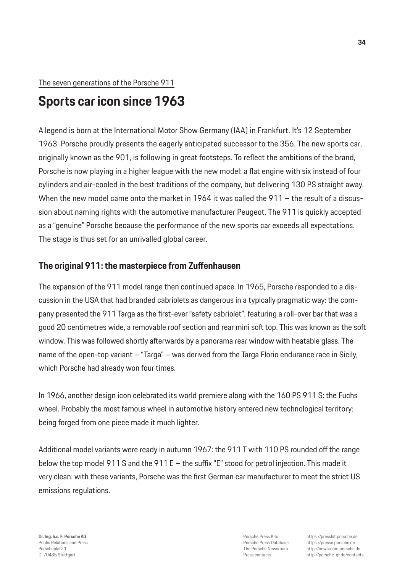## The seven generations of the Porsche 911

## **Sports car icon since 1963**

A legend is born at the International Motor Show Germany (IAA) in Frankfurt. It's 12 September 1963: Porsche proudly presents the eagerly anticipated successor to the 356. The new sports car, originally known as the 901, is following in great footsteps. To reflect the ambitions of the brand, Porsche is now playing in a higher league with the new model: a flat engine with six instead of four cylinders and air-cooled in the best traditions of the company, but delivering 130 PS straight away. When the new model came onto the market in 1964 it was called the 911 – the result of a discussion about naming rights with the automotive manufacturer Peugeot. The 911 is quickly accepted as a "genuine" Porsche because the performance of the new sports car exceeds all expectations. The stage is thus set for an unrivalled global career.

## **The original 911: the masterpiece from Zuffenhausen**

The expansion of the 911 model range then continued apace. In 1965, Porsche responded to a discussion in the USA that had branded cabriolets as dangerous in a typically pragmatic way: the company presented the 911 Targa as the first-ever "safety cabriolet", featuring a roll-over bar that was a good 20 centimetres wide, a removable roof section and rear mini soft top. This was known as the soft window. This was followed shortly afterwards by a panorama rear window with heatable glass. The name of the open-top variant – "Targa" – was derived from the Targa Florio endurance race in Sicily, which Porsche had already won four times.

In 1966, another design icon celebrated its world premiere along with the 160 PS 911 S: the Fuchs wheel. Probably the most famous wheel in automotive history entered new technological territory: being forged from one piece made it much lighter.

Additional model variants were ready in autumn 1967: the 911 T with 110 PS rounded off the range below the top model 911 S and the 911 E – the suffix "E" stood for petrol injection. This made it very clean: with these variants, Porsche was the first German car manufacturer to meet the strict US emissions regulations.

Porsche Press Kits Porsche Press Database The Porsche Newsroom Press contacts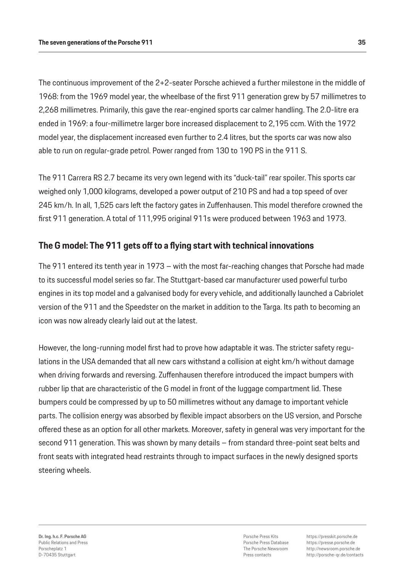The continuous improvement of the 2+2-seater Porsche achieved a further milestone in the middle of 1968: from the 1969 model year, the wheelbase of the first 911 generation grew by 57 millimetres to 2,268 millimetres. Primarily, this gave the rear-engined sports car calmer handling. The 2.0-litre era ended in 1969: a four-millimetre larger bore increased displacement to 2,195 ccm. With the 1972 model year, the displacement increased even further to 2.4 litres, but the sports car was now also able to run on regular-grade petrol. Power ranged from 130 to 190 PS in the 911 S.

The 911 Carrera RS 2.7 became its very own legend with its "duck-tail" rear spoiler. This sports car weighed only 1,000 kilograms, developed a power output of 210 PS and had a top speed of over 245 km/h. In all, 1,525 cars left the factory gates in Zuffenhausen. This model therefore crowned the first 911 generation. A total of 111,995 original 911s were produced between 1963 and 1973.

## **The G model: The 911 gets off to a flying start with technical innovations**

The 911 entered its tenth year in 1973 – with the most far-reaching changes that Porsche had made to its successful model series so far. The Stuttgart-based car manufacturer used powerful turbo engines in its top model and a galvanised body for every vehicle, and additionally launched a Cabriolet version of the 911 and the Speedster on the market in addition to the Targa. Its path to becoming an icon was now already clearly laid out at the latest.

However, the long-running model first had to prove how adaptable it was. The stricter safety regulations in the USA demanded that all new cars withstand a collision at eight km/h without damage when driving forwards and reversing. Zuffenhausen therefore introduced the impact bumpers with rubber lip that are characteristic of the G model in front of the luggage compartment lid. These bumpers could be compressed by up to 50 millimetres without any damage to important vehicle parts. The collision energy was absorbed by flexible impact absorbers on the US version, and Porsche offered these as an option for all other markets. Moreover, safety in general was very important for the second 911 generation. This was shown by many details – from standard three-point seat belts and front seats with integrated head restraints through to impact surfaces in the newly designed sports steering wheels.

Porsche Press Kits Porsche Press Database The Porsche Newsroom Press contacts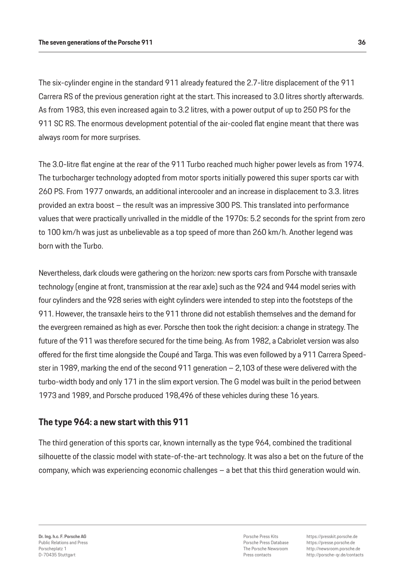The six-cylinder engine in the standard 911 already featured the 2.7-litre displacement of the 911 Carrera RS of the previous generation right at the start. This increased to 3.0 litres shortly afterwards. As from 1983, this even increased again to 3.2 litres, with a power output of up to 250 PS for the 911 SC RS. The enormous development potential of the air-cooled flat engine meant that there was always room for more surprises.

The 3.0-litre flat engine at the rear of the 911 Turbo reached much higher power levels as from 1974. The turbocharger technology adopted from motor sports initially powered this super sports car with 260 PS. From 1977 onwards, an additional intercooler and an increase in displacement to 3.3. litres provided an extra boost – the result was an impressive 300 PS. This translated into performance values that were practically unrivalled in the middle of the 1970s: 5.2 seconds for the sprint from zero to 100 km/h was just as unbelievable as a top speed of more than 260 km/h. Another legend was born with the Turbo.

Nevertheless, dark clouds were gathering on the horizon: new sports cars from Porsche with transaxle technology (engine at front, transmission at the rear axle) such as the 924 and 944 model series with four cylinders and the 928 series with eight cylinders were intended to step into the footsteps of the 911. However, the transaxle heirs to the 911 throne did not establish themselves and the demand for the evergreen remained as high as ever. Porsche then took the right decision: a change in strategy. The future of the 911 was therefore secured for the time being. As from 1982, a Cabriolet version was also offered for the first time alongside the Coupé and Targa. This was even followed by a 911 Carrera Speedster in 1989, marking the end of the second 911 generation – 2,103 of these were delivered with the turbo-width body and only 171 in the slim export version. The G model was built in the period between 1973 and 1989, and Porsche produced 198,496 of these vehicles during these 16 years.

## **The type 964: a new start with this 911**

The third generation of this sports car, known internally as the type 964, combined the traditional silhouette of the classic model with state-of-the-art technology. It was also a bet on the future of the company, which was experiencing economic challenges – a bet that this third generation would win.

Porsche Press Kits Porsche Press Database The Porsche Newsroom Press contacts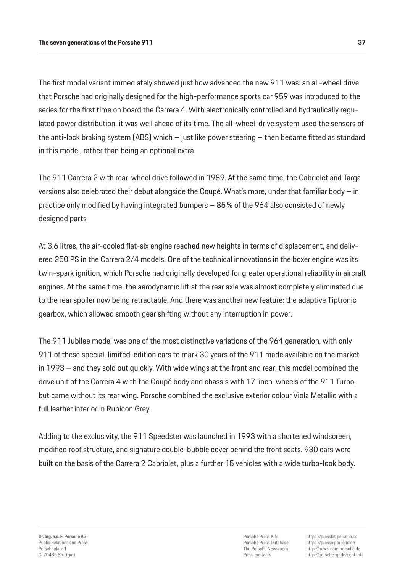The first model variant immediately showed just how advanced the new 911 was: an all-wheel drive that Porsche had originally designed for the high-performance sports car 959 was introduced to the series for the first time on board the Carrera 4. With electronically controlled and hydraulically regulated power distribution, it was well ahead of its time. The all-wheel-drive system used the sensors of the anti-lock braking system (ABS) which – just like power steering – then became fitted as standard in this model, rather than being an optional extra.

The 911 Carrera 2 with rear-wheel drive followed in 1989. At the same time, the Cabriolet and Targa versions also celebrated their debut alongside the Coupé. What's more, under that familiar body – in practice only modified by having integrated bumpers – 85% of the 964 also consisted of newly designed parts

At 3.6 litres, the air-cooled flat-six engine reached new heights in terms of displacement, and delivered 250 PS in the Carrera 2/4 models. One of the technical innovations in the boxer engine was its twin-spark ignition, which Porsche had originally developed for greater operational reliability in aircraft engines. At the same time, the aerodynamic lift at the rear axle was almost completely eliminated due to the rear spoiler now being retractable. And there was another new feature: the adaptive Tiptronic gearbox, which allowed smooth gear shifting without any interruption in power.

The 911 Jubilee model was one of the most distinctive variations of the 964 generation, with only 911 of these special, limited-edition cars to mark 30 years of the 911 made available on the market in 1993 – and they sold out quickly. With wide wings at the front and rear, this model combined the drive unit of the Carrera 4 with the Coupé body and chassis with 17-inch-wheels of the 911 Turbo, but came without its rear wing. Porsche combined the exclusive exterior colour Viola Metallic with a full leather interior in Rubicon Grey.

Adding to the exclusivity, the 911 Speedster was launched in 1993 with a shortened windscreen, modified roof structure, and signature double-bubble cover behind the front seats. 930 cars were built on the basis of the Carrera 2 Cabriolet, plus a further 15 vehicles with a wide turbo-look body.

Porsche Press Kits Porsche Press Database The Porsche Newsroom Press contacts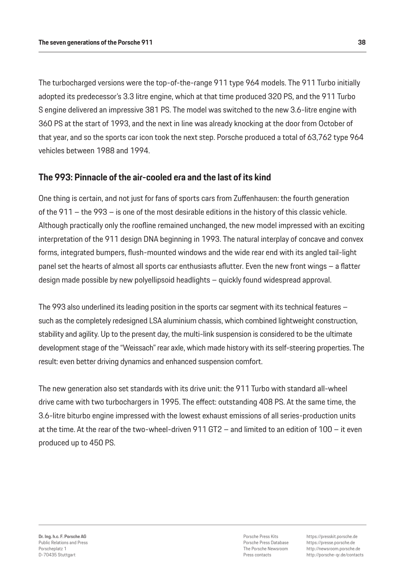The turbocharged versions were the top-of-the-range 911 type 964 models. The 911 Turbo initially adopted its predecessor's 3.3 litre engine, which at that time produced 320 PS, and the 911 Turbo S engine delivered an impressive 381 PS. The model was switched to the new 3.6-litre engine with 360 PS at the start of 1993, and the next in line was already knocking at the door from October of that year, and so the sports car icon took the next step. Porsche produced a total of 63,762 type 964 vehicles between 1988 and 1994.

## **The 993: Pinnacle of the air-cooled era and the last of its kind**

One thing is certain, and not just for fans of sports cars from Zuffenhausen: the fourth generation of the 911 – the 993 – is one of the most desirable editions in the history of this classic vehicle. Although practically only the roofline remained unchanged, the new model impressed with an exciting interpretation of the 911 design DNA beginning in 1993. The natural interplay of concave and convex forms, integrated bumpers, flush-mounted windows and the wide rear end with its angled tail-light panel set the hearts of almost all sports car enthusiasts aflutter. Even the new front wings – a flatter design made possible by new polyellipsoid headlights – quickly found widespread approval.

The 993 also underlined its leading position in the sports car segment with its technical features – such as the completely redesigned LSA aluminium chassis, which combined lightweight construction, stability and agility. Up to the present day, the multi-link suspension is considered to be the ultimate development stage of the "Weissach" rear axle, which made history with its self-steering properties. The result: even better driving dynamics and enhanced suspension comfort.

The new generation also set standards with its drive unit: the 911 Turbo with standard all-wheel drive came with two turbochargers in 1995. The effect: outstanding 408 PS. At the same time, the 3.6-litre biturbo engine impressed with the lowest exhaust emissions of all series-production units at the time. At the rear of the two-wheel-driven 911 GT2 – and limited to an edition of 100 – it even produced up to 450 PS.

Porsche Press Kits Porsche Press Database The Porsche Newsroom Press contacts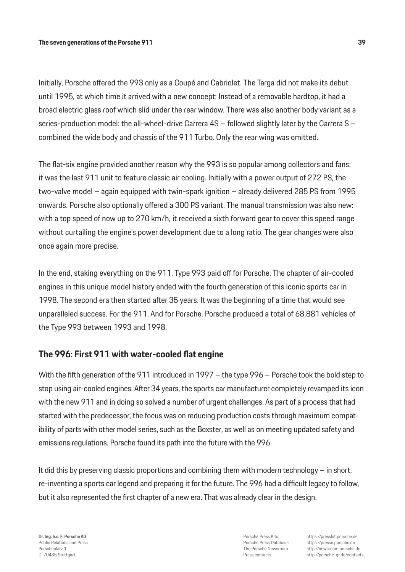Initially, Porsche offered the 993 only as a Coupé and Cabriolet. The Targa did not make its debut until 1995, at which time it arrived with a new concept: Instead of a removable hardtop, it had a broad electric glass roof which slid under the rear window. There was also another body variant as a series-production model: the all-wheel-drive Carrera 4S – followed slightly later by the Carrera S – combined the wide body and chassis of the 911 Turbo. Only the rear wing was omitted.

The flat-six engine provided another reason why the 993 is so popular among collectors and fans: it was the last 911 unit to feature classic air cooling. Initially with a power output of 272 PS, the two-valve model – again equipped with twin-spark ignition – already delivered 285 PS from 1995 onwards. Porsche also optionally offered a 300 PS variant. The manual transmission was also new: with a top speed of now up to 270 km/h, it received a sixth forward gear to cover this speed range without curtailing the engine's power development due to a long ratio. The gear changes were also once again more precise.

In the end, staking everything on the 911, Type 993 paid off for Porsche. The chapter of air-cooled engines in this unique model history ended with the fourth generation of this iconic sports car in 1998. The second era then started after 35 years. It was the beginning of a time that would see unparalleled success. For the 911. And for Porsche. Porsche produced a total of 68,881 vehicles of the Type 993 between 1993 and 1998.

## **The 996: First 911 with water-cooled flat engine**

With the fifth generation of the 911 introduced in 1997 – the type 996 – Porsche took the bold step to stop using air-cooled engines. After 34 years, the sports car manufacturer completely revamped its icon with the new 911 and in doing so solved a number of urgent challenges. As part of a process that had started with the predecessor, the focus was on reducing production costs through maximum compatibility of parts with other model series, such as the Boxster, as well as on meeting updated safety and emissions regulations. Porsche found its path into the future with the 996.

It did this by preserving classic proportions and combining them with modern technology – in short, re-inventing a sports car legend and preparing it for the future. The 996 had a difficult legacy to follow, but it also represented the first chapter of a new era. That was already clear in the design.

**Dr. Ing. h.c. F. Porsche AG** Public Relations and Press Porscheplatz 1 D-70435 Stuttgart

Porsche Press Kits Porsche Press Database The Porsche Newsroom Press contacts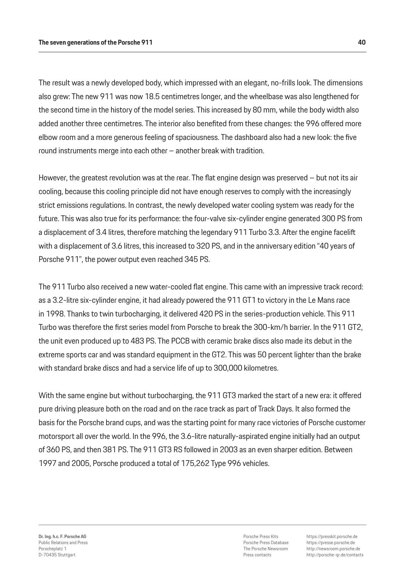The result was a newly developed body, which impressed with an elegant, no-frills look. The dimensions also grew: The new 911 was now 18.5 centimetres longer, and the wheelbase was also lengthened for the second time in the history of the model series. This increased by 80 mm, while the body width also added another three centimetres. The interior also benefited from these changes: the 996 offered more elbow room and a more generous feeling of spaciousness. The dashboard also had a new look: the five round instruments merge into each other – another break with tradition.

However, the greatest revolution was at the rear. The flat engine design was preserved – but not its air cooling, because this cooling principle did not have enough reserves to comply with the increasingly strict emissions regulations. In contrast, the newly developed water cooling system was ready for the future. This was also true for its performance: the four-valve six-cylinder engine generated 300 PS from a displacement of 3.4 litres, therefore matching the legendary 911 Turbo 3.3. After the engine facelift with a displacement of 3.6 litres, this increased to 320 PS, and in the anniversary edition "40 years of Porsche 911", the power output even reached 345 PS.

The 911 Turbo also received a new water-cooled flat engine. This came with an impressive track record: as a 3.2-litre six-cylinder engine, it had already powered the 911 GT1 to victory in the Le Mans race in 1998. Thanks to twin turbocharging, it delivered 420 PS in the series-production vehicle. This 911 Turbo was therefore the first series model from Porsche to break the 300-km/h barrier. In the 911 GT2, the unit even produced up to 483 PS. The PCCB with ceramic brake discs also made its debut in the extreme sports car and was standard equipment in the GT2. This was 50 percent lighter than the brake with standard brake discs and had a service life of up to 300,000 kilometres.

With the same engine but without turbocharging, the 911 GT3 marked the start of a new era: it offered pure driving pleasure both on the road and on the race track as part of Track Days. It also formed the basis for the Porsche brand cups, and was the starting point for many race victories of Porsche customer motorsport all over the world. In the 996, the 3.6-litre naturally-aspirated engine initially had an output of 360 PS, and then 381 PS. The 911 GT3 RS followed in 2003 as an even sharper edition. Between 1997 and 2005, Porsche produced a total of 175,262 Type 996 vehicles.

Porsche Press Kits Porsche Press Database The Porsche Newsroom Press contacts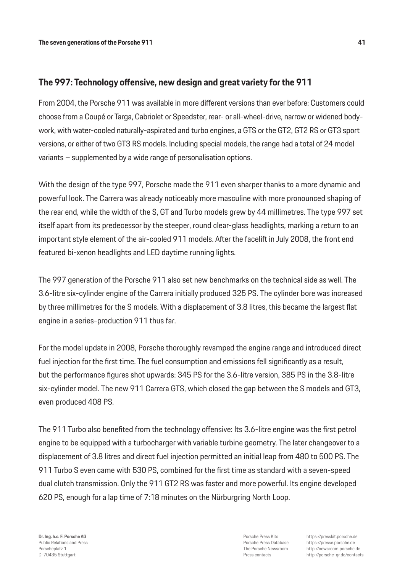## **The 997: Technology offensive, new design and great variety for the 911**

From 2004, the Porsche 911 was available in more different versions than ever before: Customers could choose from a Coupé or Targa, Cabriolet or Speedster, rear- or all-wheel-drive, narrow or widened bodywork, with water-cooled naturally-aspirated and turbo engines, a GTS or the GT2, GT2 RS or GT3 sport versions, or either of two GT3 RS models. Including special models, the range had a total of 24 model variants – supplemented by a wide range of personalisation options.

With the design of the type 997, Porsche made the 911 even sharper thanks to a more dynamic and powerful look. The Carrera was already noticeably more masculine with more pronounced shaping of the rear end, while the width of the S, GT and Turbo models grew by 44 millimetres. The type 997 set itself apart from its predecessor by the steeper, round clear-glass headlights, marking a return to an important style element of the air-cooled 911 models. After the facelift in July 2008, the front end featured bi-xenon headlights and LED daytime running lights.

The 997 generation of the Porsche 911 also set new benchmarks on the technical side as well. The 3.6-litre six-cylinder engine of the Carrera initially produced 325 PS. The cylinder bore was increased by three millimetres for the S models. With a displacement of 3.8 litres, this became the largest flat engine in a series-production 911 thus far.

For the model update in 2008, Porsche thoroughly revamped the engine range and introduced direct fuel injection for the first time. The fuel consumption and emissions fell significantly as a result, but the performance figures shot upwards: 345 PS for the 3.6-litre version, 385 PS in the 3.8-litre six-cylinder model. The new 911 Carrera GTS, which closed the gap between the S models and GT3, even produced 408 PS.

The 911 Turbo also benefited from the technology offensive: Its 3.6-litre engine was the first petrol engine to be equipped with a turbocharger with variable turbine geometry. The later changeover to a displacement of 3.8 litres and direct fuel injection permitted an initial leap from 480 to 500 PS. The 911 Turbo S even came with 530 PS, combined for the first time as standard with a seven-speed dual clutch transmission. Only the 911 GT2 RS was faster and more powerful. Its engine developed 620 PS, enough for a lap time of 7:18 minutes on the Nürburgring North Loop.

Porsche Press Kits Porsche Press Database The Porsche Newsroom Press contacts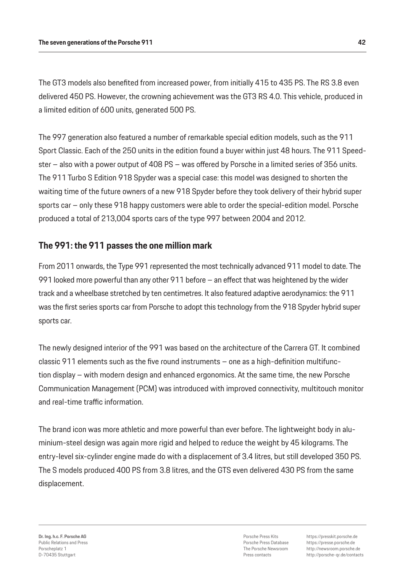The GT3 models also benefited from increased power, from initially 415 to 435 PS. The RS 3.8 even delivered 450 PS. However, the crowning achievement was the GT3 RS 4.0. This vehicle, produced in a limited edition of 600 units, generated 500 PS.

The 997 generation also featured a number of remarkable special edition models, such as the 911 Sport Classic. Each of the 250 units in the edition found a buyer within just 48 hours. The 911 Speedster – also with a power output of 408 PS – was offered by Porsche in a limited series of 356 units. The 911 Turbo S Edition 918 Spyder was a special case: this model was designed to shorten the waiting time of the future owners of a new 918 Spyder before they took delivery of their hybrid super sports car – only these 918 happy customers were able to order the special-edition model. Porsche produced a total of 213,004 sports cars of the type 997 between 2004 and 2012.

## **The 991: the 911 passes the one million mark**

From 2011 onwards, the Type 991 represented the most technically advanced 911 model to date. The 991 looked more powerful than any other 911 before – an effect that was heightened by the wider track and a wheelbase stretched by ten centimetres. It also featured adaptive aerodynamics: the 911 was the first series sports car from Porsche to adopt this technology from the 918 Spyder hybrid super sports car.

The newly designed interior of the 991 was based on the architecture of the Carrera GT. It combined classic 911 elements such as the five round instruments – one as a high-definition multifunction display – with modern design and enhanced ergonomics. At the same time, the new Porsche Communication Management (PCM) was introduced with improved connectivity, multitouch monitor and real-time traffic information.

The brand icon was more athletic and more powerful than ever before. The lightweight body in aluminium-steel design was again more rigid and helped to reduce the weight by 45 kilograms. The entry-level six-cylinder engine made do with a displacement of 3.4 litres, but still developed 350 PS. The S models produced 400 PS from 3.8 litres, and the GTS even delivered 430 PS from the same displacement.

Porsche Press Kits Porsche Press Database The Porsche Newsroom Press contacts